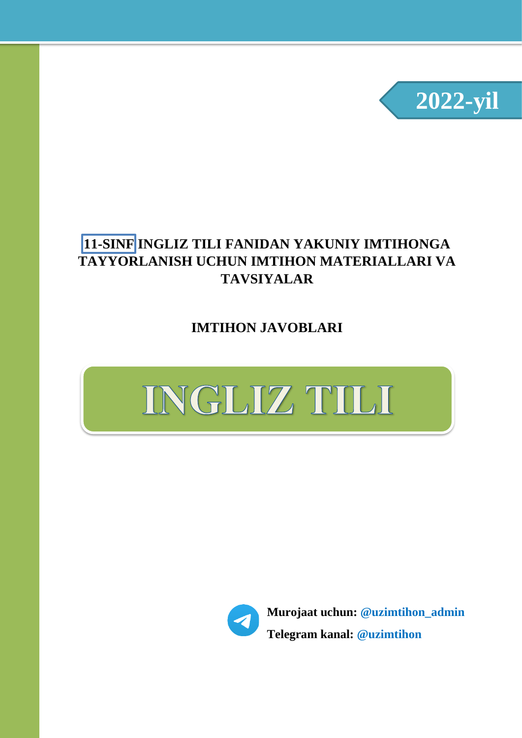

### **11-SINF INGLIZ TILI FANIDAN YAKUNIY IMTIHONGA TAYYORLANISH UCHUN IMTIHON MATERIALLARI VA TAVSIYALAR**

**IMTIHON JAVOBLARI**





**Murojaat uchun: @uzimtihon\_admin Telegram kanal: @uzimtihon**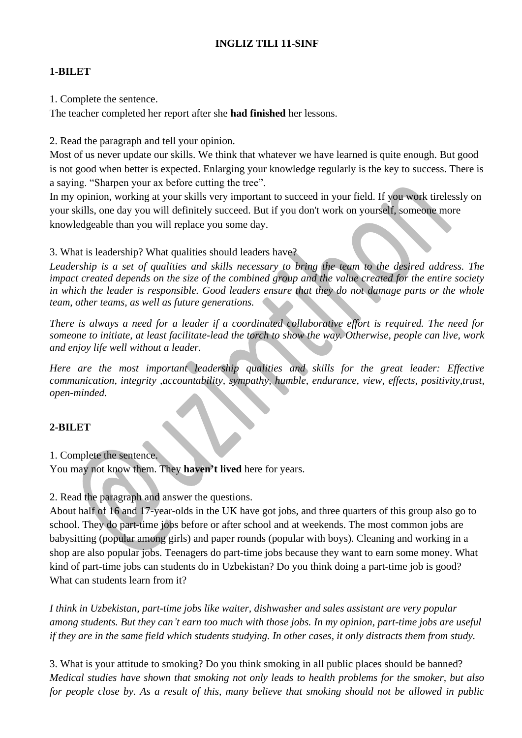#### **INGLIZ TILI 11-SINF**

#### **1-BILET**

1. Complete the sentence.

The teacher completed her report after she **had finished** her lessons.

2. Read the paragraph and tell your opinion.

Most of us never update our skills. We think that whatever we have learned is quite enough. But good is not good when better is expected. Enlarging your knowledge regularly is the key to success. There is a saying. "Sharpen your ax before cutting the tree".

In my opinion, working at your skills very important to succeed in your field. If you work tirelessly on your skills, one day you will definitely succeed. But if you don't work on yourself, someone more knowledgeable than you will replace you some day.

3. What is leadership? What qualities should leaders have?

*Leadership is a set of qualities and skills necessary to bring the team to the desired address. The impact created depends on the size of the combined group and the value created for the entire society in which the leader is responsible. Good leaders ensure that they do not damage parts or the whole team, other teams, as well as future generations.*

*There is always a need for a leader if a coordinated collaborative effort is required. The need for someone to initiate, at least facilitate-lead the torch to show the way. Otherwise, people can live, work and enjoy life well without a leader.*

*Here are the most important leadership qualities and skills for the great leader: Effective communication, integrity ,accountability, sympathy, humble, endurance, view, effects, positivity,trust, open-minded.*

#### **2-BILET**

1. Complete the sentence.

You may not know them. They **haven't lived** here for years.

2. Read the paragraph and answer the questions.

About half of 16 and 17-year-olds in the UK have got jobs, and three quarters of this group also go to school. They do part-time jobs before or after school and at weekends. The most common jobs are babysitting (popular among girls) and paper rounds (popular with boys). Cleaning and working in a shop are also popular jobs. Teenagers do part-time jobs because they want to earn some money. What kind of part-time jobs can students do in Uzbekistan? Do you think doing a part-time job is good? What can students learn from it?

*I think in Uzbekistan, part-time jobs like waiter, dishwasher and sales assistant are very popular among students. But they can't earn too much with those jobs. In my opinion, part-time jobs are useful if they are in the same field which students studying. In other cases, it only distracts them from study.*

3. What is your attitude to smoking? Do you think smoking in all public places should be banned? *Medical studies have shown that smoking not only leads to health problems for the smoker, but also for people close by. As a result of this, many believe that smoking should not be allowed in public*